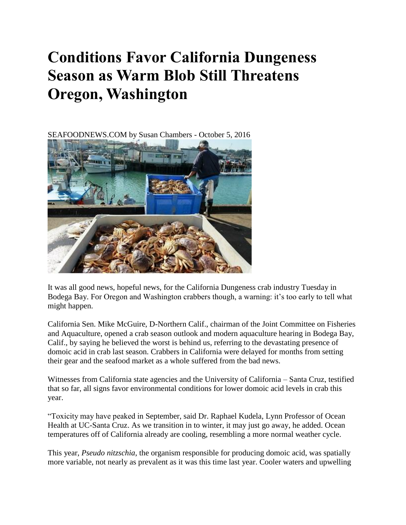## **Conditions Favor California Dungeness Season as Warm Blob Still Threatens Oregon, Washington**

SEAFOODNEWS.COM by Susan Chambers - October 5, 2016



It was all good news, hopeful news, for the California Dungeness crab industry Tuesday in Bodega Bay. For Oregon and Washington crabbers though, a warning: it's too early to tell what might happen.

California Sen. Mike McGuire, D-Northern Calif., chairman of the Joint Committee on Fisheries and Aquaculture, opened a crab season outlook and modern aquaculture hearing in Bodega Bay, Calif., by saying he believed the worst is behind us, referring to the devastating presence of domoic acid in crab last season. Crabbers in California were delayed for months from setting their gear and the seafood market as a whole suffered from the bad news.

Witnesses from California state agencies and the University of California – Santa Cruz, testified that so far, all signs favor environmental conditions for lower domoic acid levels in crab this year.

"Toxicity may have peaked in September, said Dr. Raphael Kudela, Lynn Professor of Ocean Health at UC-Santa Cruz. As we transition in to winter, it may just go away, he added. Ocean temperatures off of California already are cooling, resembling a more normal weather cycle.

This year, *Pseudo nitzschia*, the organism responsible for producing domoic acid, was spatially more variable, not nearly as prevalent as it was this time last year. Cooler waters and upwelling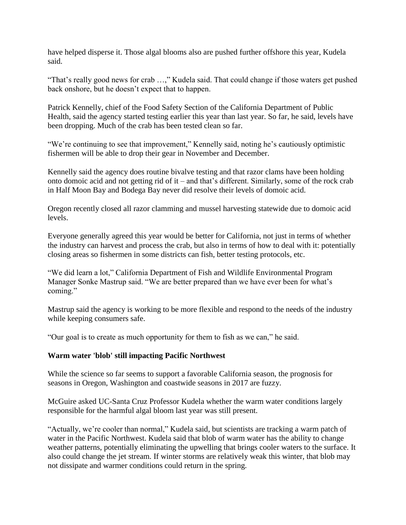have helped disperse it. Those algal blooms also are pushed further offshore this year, Kudela said.

"That's really good news for crab …," Kudela said. That could change if those waters get pushed back onshore, but he doesn't expect that to happen.

Patrick Kennelly, chief of the Food Safety Section of the California Department of Public Health, said the agency started testing earlier this year than last year. So far, he said, levels have been dropping. Much of the crab has been tested clean so far.

"We're continuing to see that improvement," Kennelly said, noting he's cautiously optimistic fishermen will be able to drop their gear in November and December.

Kennelly said the agency does routine bivalve testing and that razor clams have been holding onto domoic acid and not getting rid of it – and that's different. Similarly, some of the rock crab in Half Moon Bay and Bodega Bay never did resolve their levels of domoic acid.

Oregon recently closed all razor clamming and mussel harvesting statewide due to domoic acid levels.

Everyone generally agreed this year would be better for California, not just in terms of whether the industry can harvest and process the crab, but also in terms of how to deal with it: potentially closing areas so fishermen in some districts can fish, better testing protocols, etc.

"We did learn a lot," California Department of Fish and Wildlife Environmental Program Manager Sonke Mastrup said. "We are better prepared than we have ever been for what's coming."

Mastrup said the agency is working to be more flexible and respond to the needs of the industry while keeping consumers safe.

"Our goal is to create as much opportunity for them to fish as we can," he said.

## **Warm water 'blob' still impacting Pacific Northwest**

While the science so far seems to support a favorable California season, the prognosis for seasons in Oregon, Washington and coastwide seasons in 2017 are fuzzy.

McGuire asked UC-Santa Cruz Professor Kudela whether the warm water conditions largely responsible for the harmful algal bloom last year was still present.

"Actually, we're cooler than normal," Kudela said, but scientists are tracking a warm patch of water in the Pacific Northwest. Kudela said that blob of warm water has the ability to change weather patterns, potentially eliminating the upwelling that brings cooler waters to the surface. It also could change the jet stream. If winter storms are relatively weak this winter, that blob may not dissipate and warmer conditions could return in the spring.